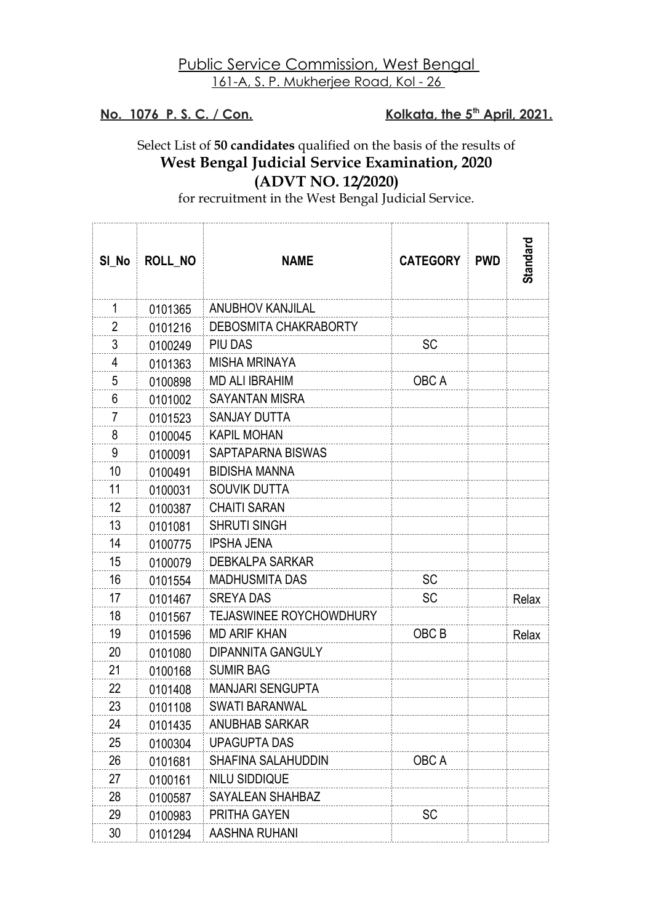## Public Service Commission, West Bengal 161-A, S. P. Mukherjee Road, Kol - 26

**No. 1076 P.S.C. / Con.** 

Kolkata, the 5<sup>th</sup> April, 2021.

. . . . . . . . . . . . .

## Select List of **50 candidates** qualified on the basis of the results of **West Bengal Judicial Service Examination, 2020 (ADVT NO. 12/2020)**

for recruitment in the West Bengal Judicial Service.

| SI_No          | <b>ROLL NO</b> | <b>NAME</b>                    | <b>CATEGORY</b> | <b>PWD</b> | Standard |
|----------------|----------------|--------------------------------|-----------------|------------|----------|
| 1              | 0101365        | <b>ANUBHOV KANJILAL</b>        |                 |            |          |
| 2              | 0101216        | DEBOSMITA CHAKRABORTY          |                 |            |          |
| 3              | 0100249        | PIU DAS                        | SC              |            |          |
| 4              | 0101363        | <b>MISHA MRINAYA</b>           |                 |            |          |
| 5              | 0100898        | <b>MD ALI IBRAHIM</b>          | OBC A           |            |          |
| 6              | 0101002        | <b>SAYANTAN MISRA</b>          |                 |            |          |
| $\overline{7}$ | 0101523        | <b>SANJAY DUTTA</b>            |                 |            |          |
| 8              | 0100045        | <b>KAPIL MOHAN</b>             |                 |            |          |
| 9              | 0100091        | SAPTAPARNA BISWAS              |                 |            |          |
| 10             | 0100491        | <b>BIDISHA MANNA</b>           |                 |            |          |
| 11             | 0100031        | SOUVIK DUTTA                   |                 |            |          |
| 12             | 0100387        | <b>CHAITI SARAN</b>            |                 |            |          |
| 13             | 0101081        | <b>SHRUTI SINGH</b>            |                 |            |          |
| 14             | 0100775        | <b>IPSHA JENA</b>              |                 |            |          |
| 15             | 0100079        | <b>DEBKALPA SARKAR</b>         |                 |            |          |
| 16             | 0101554        | <b>MADHUSMITA DAS</b>          | SC              |            |          |
| 17             | 0101467        | <b>SREYA DAS</b>               | SC              |            | Relax    |
| 18             | 0101567        | <b>TEJASWINEE ROYCHOWDHURY</b> |                 |            |          |
| 19             | 0101596        | <b>MD ARIF KHAN</b>            | OBC B           |            | Relax    |
| 20             | 0101080        | <b>DIPANNITA GANGULY</b>       |                 |            |          |
| 21             | 0100168        | <b>SUMIR BAG</b>               |                 |            |          |
| 22             | 0101408        | <b>MANJARI SENGUPTA</b>        |                 |            |          |
| 23             | 0101108        | <b>SWATI BARANWAL</b>          |                 |            |          |
| 24             | 0101435        | <b>ANUBHAB SARKAR</b>          |                 |            |          |
| 25             | 0100304        | <b>UPAGUPTA DAS</b>            |                 |            |          |
| 26             | 0101681        | SHAFINA SALAHUDDIN             | OBC A           |            |          |
| 27             | 0100161        | <b>NILU SIDDIQUE</b>           |                 |            |          |
| 28             | 0100587        | SAYALEAN SHAHBAZ               |                 |            |          |
| 29             | 0100983        | <b>PRITHA GAYEN</b>            | SC              |            |          |
| 30             | 0101294        | AASHNA RUHANI                  |                 |            |          |